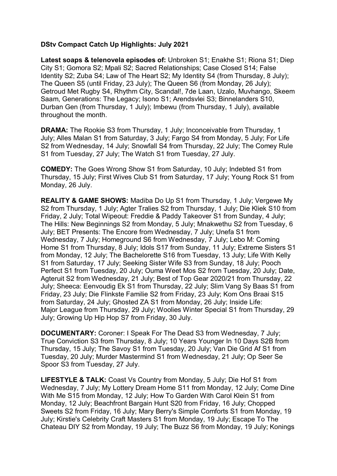## **DStv Compact Catch Up Highlights: July 2021**

**Latest soaps & telenovela episodes of:** Unbroken S1; Enakhe S1; Riona S1; Diep City S1; Gomora S2; Mpali S2; Sacred Relationships; Case Closed S14; False Identity S2; Zuba S4; Law of The Heart S2; My Identity S4 (from Thursday, 8 July); The Queen S5 (until Friday, 23 July); The Queen S6 (from Monday, 26 July); Getroud Met Rugby S4, Rhythm City, Scandal!, 7de Laan, Uzalo, Muvhango, Skeem Saam, Generations: The Legacy; Isono S1; Arendsvlei S3; Binnelanders S10, Durban Gen (from Thursday, 1 July); Imbewu (from Thursday, 1 July), available throughout the month.

**DRAMA:** The Rookie S3 from Thursday, 1 July; Inconceivable from Thursday, 1 July; Alles Malan S1 from Saturday, 3 July; Fargo S4 from Monday, 5 July; For Life S2 from Wednesday, 14 July; Snowfall S4 from Thursday, 22 July; The Comey Rule S1 from Tuesday, 27 July; The Watch S1 from Tuesday, 27 July.

**COMEDY:** The Goes Wrong Show S1 from Saturday, 10 July; Indebted S1 from Thursday, 15 July; First Wives Club S1 from Saturday, 17 July; Young Rock S1 from Monday, 26 July.

**REALITY & GAME SHOWS:** Madiba Do Up S1 from Thursday, 1 July; Vergewe My S2 from Thursday, 1 July; Agter Tralies S2 from Thursday, 1 July; Die Kliek S10 from Friday, 2 July; Total Wipeout: Freddie & Paddy Takeover S1 from Sunday, 4 July; The Hills: New Beginnings S2 from Monday, 5 July; Mnakwethu S2 from Tuesday, 6 July; BET Presents: The Encore from Wednesday, 7 July; Unefa S1 from Wednesday, 7 July; Homeground S6 from Wednesday, 7 July; Lebo M: Coming Home S1 from Thursday, 8 July; Idols S17 from Sunday, 11 July; Extreme Sisters S1 from Monday, 12 July; The Bachelorette S16 from Tuesday, 13 July; Life With Kelly S1 from Saturday, 17 July; Seeking Sister Wife S3 from Sunday, 18 July; Pooch Perfect S1 from Tuesday, 20 July; Ouma Weet Mos S2 from Tuesday, 20 July; Date, Agteruit S2 from Wednesday, 21 July; Best of Top Gear 2020/21 from Thursday, 22 July; Sheeca: Eenvoudig Ek S1 from Thursday, 22 July; Slim Vang Sy Baas S1 from Friday, 23 July; Die Flinkste Familie S2 from Friday, 23 July; Kom Ons Braai S15 from Saturday, 24 July; Ghosted ZA S1 from Monday, 26 July; Inside Life: Major League from Thursday, 29 July; Woolies Winter Special S1 from Thursday, 29 July; Growing Up Hip Hop S7 from Friday, 30 July.

**DOCUMENTARY:** Coroner: I Speak For The Dead S3 from Wednesday, 7 July; True Conviction S3 from Thursday, 8 July; 10 Years Younger In 10 Days S2B from Thursday, 15 July; The Savoy S1 from Tuesday, 20 July; Van Die Grid Af S1 from Tuesday, 20 July; Murder Mastermind S1 from Wednesday, 21 July; Op Seer Se Spoor S3 from Tuesday, 27 July.

**LIFESTYLE & TALK:** Coast Vs Country from Monday, 5 July; Die Hof S1 from Wednesday, 7 July; My Lottery Dream Home S11 from Monday, 12 July; Come Dine With Me S15 from Monday, 12 July; How To Garden With Carol Klein S1 from Monday, 12 July; Beachfront Bargain Hunt S20 from Friday, 16 July; Chopped Sweets S2 from Friday, 16 July; Mary Berry's Simple Comforts S1 from Monday, 19 July; Kirstie's Celebrity Craft Masters S1 from Monday, 19 July; Escape To The Chateau DIY S2 from Monday, 19 July; The Buzz S6 from Monday, 19 July; Konings